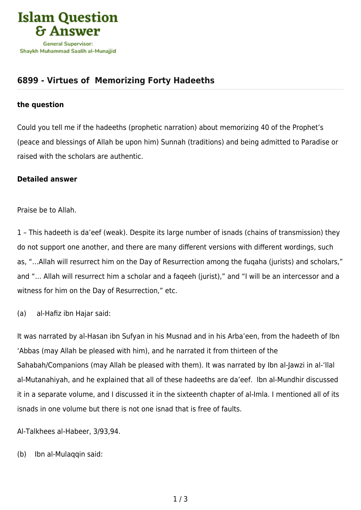

## **[6899 - Virtues of Memorizing Forty Hadeeths](https://islamqa.com/en/answers/6899/virtues-of-%C2%A0memorizing-forty-hadeeths)**

## **the question**

Could you tell me if the hadeeths (prophetic narration) about memorizing 40 of the Prophet's (peace and blessings of Allah be upon him) Sunnah (traditions) and being admitted to Paradise or raised with the scholars are authentic.

## **Detailed answer**

Praise be to Allah.

1 – This hadeeth is da'eef (weak). Despite its large number of isnads (chains of transmission) they do not support one another, and there are many different versions with different wordings, such as, "…Allah will resurrect him on the Day of Resurrection among the fuqaha (jurists) and scholars," and "… Allah will resurrect him a scholar and a faqeeh (jurist)," and "I will be an intercessor and a witness for him on the Day of Resurrection," etc.

(a) al-Hafiz ibn Hajar said:

It was narrated by al-Hasan ibn Sufyan in his Musnad and in his Arba'een, from the hadeeth of Ibn 'Abbas (may Allah be pleased with him), and he narrated it from thirteen of the Sahabah/Companions (may Allah be pleased with them). It was narrated by Ibn al-Jawzi in al-'Ilal al-Mutanahiyah, and he explained that all of these hadeeths are da'eef. Ibn al-Mundhir discussed it in a separate volume, and I discussed it in the sixteenth chapter of al-Imla. I mentioned all of its isnads in one volume but there is not one isnad that is free of faults.

Al-Talkhees al-Habeer, 3/93,94.

(b) Ibn al-Mulaqqin said: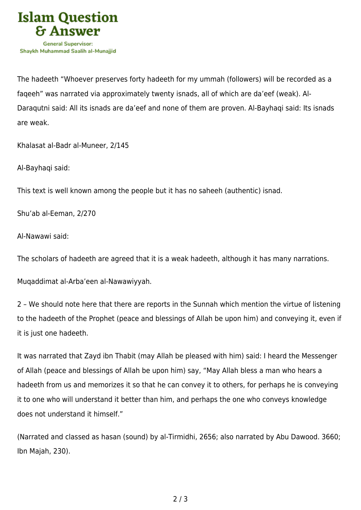

The hadeeth "Whoever preserves forty hadeeth for my ummah (followers) will be recorded as a faqeeh" was narrated via approximately twenty isnads, all of which are da'eef (weak). Al-Daraqutni said: All its isnads are da'eef and none of them are proven. Al-Bayhaqi said: Its isnads are weak.

Khalasat al-Badr al-Muneer, 2/145

Al-Bayhaqi said:

This text is well known among the people but it has no saheeh (authentic) isnad.

Shu'ab al-Eeman, 2/270

Al-Nawawi said:

The scholars of hadeeth are agreed that it is a weak hadeeth, although it has many narrations.

Muqaddimat al-Arba'een al-Nawawiyyah.

2 – We should note here that there are reports in the Sunnah which mention the virtue of listening to the hadeeth of the Prophet (peace and blessings of Allah be upon him) and conveying it, even if it is just one hadeeth.

It was narrated that Zayd ibn Thabit (may Allah be pleased with him) said: I heard the Messenger of Allah (peace and blessings of Allah be upon him) say, "May Allah bless a man who hears a hadeeth from us and memorizes it so that he can convey it to others, for perhaps he is conveying it to one who will understand it better than him, and perhaps the one who conveys knowledge does not understand it himself."

(Narrated and classed as hasan (sound) by al-Tirmidhi, 2656; also narrated by Abu Dawood. 3660; Ibn Majah, 230).